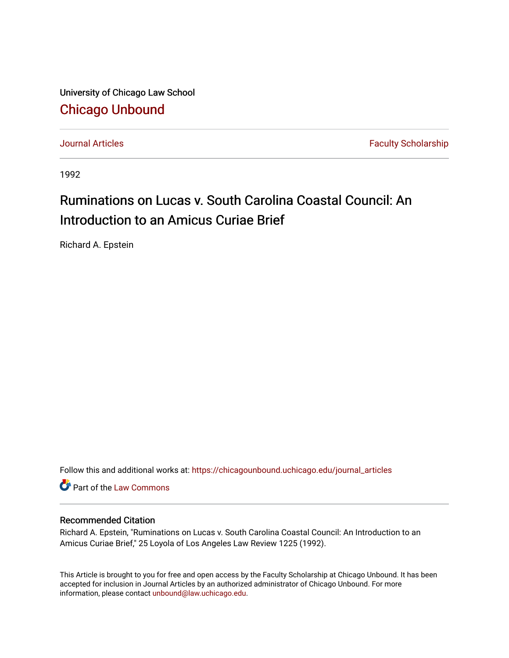University of Chicago Law School [Chicago Unbound](https://chicagounbound.uchicago.edu/)

[Journal Articles](https://chicagounbound.uchicago.edu/journal_articles) **Faculty Scholarship Journal Articles** 

1992

## Ruminations on Lucas v. South Carolina Coastal Council: An Introduction to an Amicus Curiae Brief

Richard A. Epstein

Follow this and additional works at: [https://chicagounbound.uchicago.edu/journal\\_articles](https://chicagounbound.uchicago.edu/journal_articles?utm_source=chicagounbound.uchicago.edu%2Fjournal_articles%2F6452&utm_medium=PDF&utm_campaign=PDFCoverPages) 

**C** Part of the [Law Commons](http://network.bepress.com/hgg/discipline/578?utm_source=chicagounbound.uchicago.edu%2Fjournal_articles%2F6452&utm_medium=PDF&utm_campaign=PDFCoverPages)

## Recommended Citation

Richard A. Epstein, "Ruminations on Lucas v. South Carolina Coastal Council: An Introduction to an Amicus Curiae Brief," 25 Loyola of Los Angeles Law Review 1225 (1992).

This Article is brought to you for free and open access by the Faculty Scholarship at Chicago Unbound. It has been accepted for inclusion in Journal Articles by an authorized administrator of Chicago Unbound. For more information, please contact [unbound@law.uchicago.edu](mailto:unbound@law.uchicago.edu).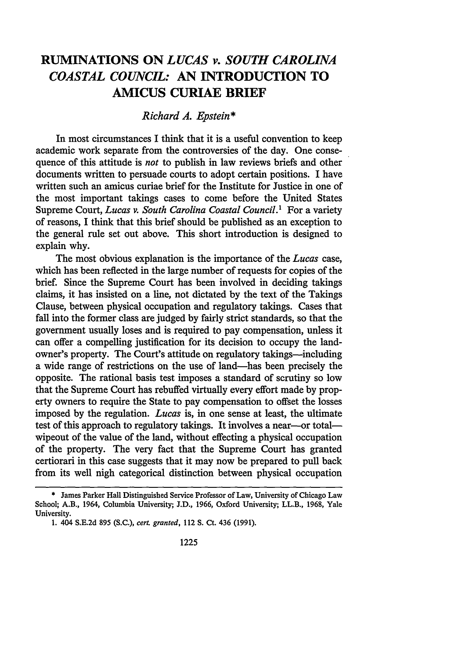## **RUMINATIONS ON** *LUCAS v. SOUTH CAROLINA COASTAL COUNCIL:* **AN INTRODUCTION TO AMICUS CURIAE BRIEF**

## *Richard A. Epstein\**

In most circumstances I think that it is a useful convention to keep academic work separate from the controversies of the day. One consequence of this attitude is *not* to publish in law reviews briefs and other documents written to persuade courts to adopt certain positions. I have written such an amicus curiae brief for the Institute for Justice in one of the most important takings cases to come before the United States Supreme Court, *Lucas v. South Carolina Coastal Council.1* For a variety of reasons, I think that this brief should be published as an exception to the general rule set out above. This short introduction is designed to explain why.

The most obvious explanation is the importance of the *Lucas* case, which has been reflected in the large number of requests for copies of the brief. Since the Supreme Court has been involved in deciding takings claims, it has insisted on a line, not dictated by the text of the Takings Clause, between physical occupation and regulatory takings. Cases that fall into the former class are judged by fairly strict standards, so that the government usually loses and is required to pay compensation, unless it can offer a compelling justification for its decision to occupy the landowner's property. The Court's attitude on regulatory takings—including a wide range of restrictions on the use of land-has been precisely the opposite. The rational basis test imposes a standard of scrutiny so low that the Supreme Court has rebuffed virtually every effort made by property owners to require the State to pay compensation to offset the losses imposed by the regulation. *Lucas* is, in one sense at least, the ultimate test of this approach to regulatory takings. It involves a near-or totalwipeout of the value of the land, without effecting a physical occupation of the property. The very fact that the Supreme Court has granted certiorari in this case suggests that it may now be prepared to pull back from its well nigh categorical distinction between physical occupation

<sup>\*</sup> James Parker Hall Distinguished Service Professor of Law, University of Chicago Law School; A.B., 1964, Columbia University; J.D., 1966, Oxford University; LL.B., 1968, Yale University.

<sup>1. 404</sup> S.E.2d 895 (S.C.), *cert. granted,* 112 **S.** Ct. 436 (1991).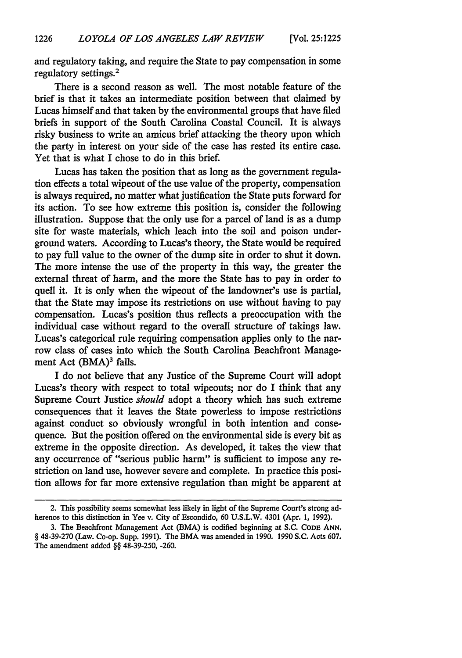and regulatory taking, and require the State to pay compensation in some regulatory settings.2

There is a second reason as well. The most notable feature of the brief is that it takes an intermediate position between that claimed by Lucas himself and that taken by the environmental groups that have filed briefs in support of the South Carolina Coastal Council. It is always risky business to write an amicus brief attacking the theory upon which the party in interest on your side of the case has rested its entire case. Yet that is what I chose to do in this brief.

Lucas has taken the position that as long as the government regulation effects a total wipeout of the use value of the property, compensation is always required, no matter what justification the State puts forward for its action. To see how extreme this position is, consider the following illustration. Suppose that the only use for a parcel of land is as a dump site for waste materials, which leach into the soil and poison underground waters. According to Lucas's theory, the State would be required to pay full value to the owner of the dump site in order to shut it down. The more intense the use of the property in this way, the greater the external threat of harm, and the more the State has to pay in order to quell it. It is only when the wipeout of the landowner's use is partial, that the State may impose its restrictions on use without having to pay compensation. Lucas's position thus reflects a preoccupation with the individual case without regard to the overall structure of takings law. Lucas's categorical rule requiring compensation applies only to the narrow class of cases into which the South Carolina Beachfront Management Act (BMA)<sup>3</sup> falls.

I do not believe that any Justice of the Supreme Court will adopt Lucas's theory with respect to total wipeouts; nor do I think that any Supreme Court Justice *should* adopt a theory which has such extreme consequences that it leaves the State powerless to impose restrictions against conduct so obviously wrongful in both intention and consequence. But the position offered on the environmental side is every bit as extreme in the opposite direction. As developed, it takes the view that any occurrence of "serious public harm" is sufficient to impose any restriction on land use, however severe and complete. In practice this position allows for far more extensive regulation than might be apparent at

<sup>2.</sup> This possibility seems somewhat less likely in light of the Supreme Court's strong adherence to this distinction in Yee v. City of Escondido, 60 U.S.L.W. 4301 (Apr. 1, 1992).

**<sup>3.</sup>** The Beachfront Management Act (BMA) is codified beginning at **S.C. CODE ANN.** § 48-39-270 (Law. Co-op. Supp. 1991). The BMA was amended in 1990. 1990 **S.C.** Acts 607. The amendment added §§ 48-39-250, -260.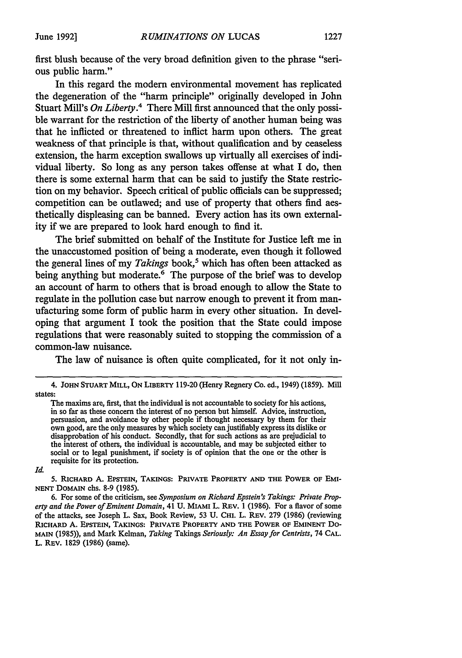first blush because of the very broad definition given to the phrase "serious public harm."

In this regard the modem environmental movement has replicated the degeneration of the "harm principle" originally developed in John Stuart Mill's *On Liberty.4* There Mill first announced that the only possible warrant for the restriction of the liberty of another human being was that he inflicted or threatened to inflict harm upon others. The great weakness of that principle is that, without qualification and by ceaseless extension, the harm exception swallows up virtually all exercises of individual liberty. So long as any person takes offense at what I do, then there is some external harm that can be said to justify the State restriction on my behavior. Speech critical of public officials can be suppressed; competition can be outlawed; and use of property that others find aesthetically displeasing can be banned. Every action has its own externality if we are prepared to look hard enough to find it.

The brief submitted on behalf of the Institute for Justice left me in the unaccustomed position of being a moderate, even though it followed the general lines of my *Takings* book,<sup>5</sup> which has often been attacked as being anything but moderate.<sup>6</sup> The purpose of the brief was to develop an account of harm to others that is broad enough to allow the State to regulate in the pollution case but narrow enough to prevent it from manufacturing some form of public harm in every other situation. In developing that argument I took the position that the State could impose regulations that were reasonably suited to stopping the commission of a common-law nuisance.

The law of nuisance is often quite complicated, for it not only in-

*Id.*

**5. RICHARD** A. **EPSTEIN, TAKINGS: PRIVATE PROPERTY AND THE POWER OF EMI-NENT DOMAIN** chs. **8-9 (1985).**

**6.** For some of the criticism, see *Symposium on Richard Epstein's Takings: Private Property and the Power of Eminent Domain,* 41 **U.** MIAMI L. REV. **1 (1986).** For a flavor of some of the attacks, see Joseph L. Sax, Book Review, **53 U.** CHI. L. REV. **279 (1986)** (reviewing **RICHARD A. EPSTEIN, TAKINGS: PRIVATE PROPERTY AND THE POWER OF EMINENT** Do-MAIN **(1985)),** and Mark Kelman, *Taking* Takings *Seriously: An Essay for Centrists,* 74 **CAL.** L. **REV. 1829** (1986) (same).

<sup>4.</sup> **JOHN STUART MILL, ON LIBERTY 119-20** (Henry Regnery Co. ed., 1949) **(1859).** Mill states:

The maxims are, first, that the individual is not accountable to society for his actions, in so far as these concern the interest of no person but himself. Advice, instruction, persuasion, and avoidance by other people if thought necessary by them for their own good, are the only measures by which society can justifiably express its dislike or disapprobation of his conduct. Secondly, that for such actions as are prejudicial to the interest of others, the individual is accountable, and may be subjected either to social or to legal punishment, if society is of opinion that the one or the other is requisite for its protection.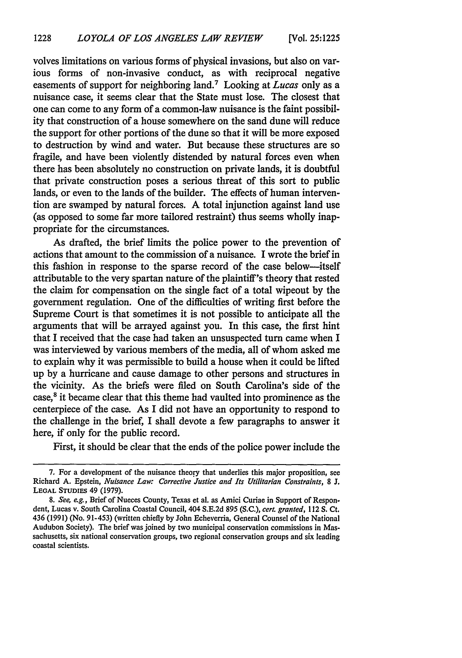volves limitations on various forms of physical invasions, but also on various forms of non-invasive conduct, as with reciprocal negative easements of support for neighboring land.7 Looking at *Lucas* only as a nuisance case, it seems clear that the State must lose. The closest that one can come to any form of a common-law nuisance is the faint possibility that construction of a house somewhere on the sand dune will reduce the support for other portions of the dune so that it will be more exposed to destruction by wind and water. But because these structures are so fragile, and have been violently distended by natural forces even when there has been absolutely no construction on private lands, it is doubtful that private construction poses a serious threat of this sort to public lands, or even to the lands of the builder. The effects of human intervention are swamped by natural forces. A total injunction against land use (as opposed to some far more tailored restraint) thus seems wholly inappropriate for the circumstances.

As drafted, the brief limits the police power to the prevention of actions that amount to the commission of a nuisance. I wrote the brief in this fashion in response to the sparse record of the case below-itself attributable to the very spartan nature of the plaintiff's theory that rested the claim for compensation on the single fact of a total wipeout by the government regulation. One of the difficulties of writing first before the Supreme Court is that sometimes it is not possible to anticipate all the arguments that will be arrayed against you. In this case, the first hint that I received that the case had taken an unsuspected turn came when I was interviewed by various members of the media, all of whom asked me to explain why it was permissible to build a house when it could be lifted up by a hurricane and cause damage to other persons and structures in the vicinity. As the briefs were filed on South Carolina's side of the case,<sup>8</sup> it became clear that this theme had vaulted into prominence as the centerpiece of the case. As I did not have an opportunity to respond to the challenge in the brief, I shall devote a few paragraphs to answer it here, if only for the public record.

First, it should be clear that the ends of the police power include the

<sup>7.</sup> For a development of the nuisance theory that underlies this major proposition, see Richard A. Epstein, *Nuisance Law: Corrective Justice and Its Utilitarian Constraints,* 8 *J.* **LEGAL STUDIES** 49 (1979).

*<sup>8.</sup> See, e.g.,* Brief of Nueces County, Texas et al. as Amici Curiae in Support of Respondent, Lucas v. South Carolina Coastal Council, 404 S.E.2d 895 (S.C.), *cert. granted,* 112 **S.** Ct. 436 (1991) (No. 91-453) (written chiefly by John Echeverria, General Counsel of the National Audubon Society). The brief was joined by two municipal conservation commissions in Massachusetts, six national conservation groups, two regional conservation groups and six leading coastal scientists.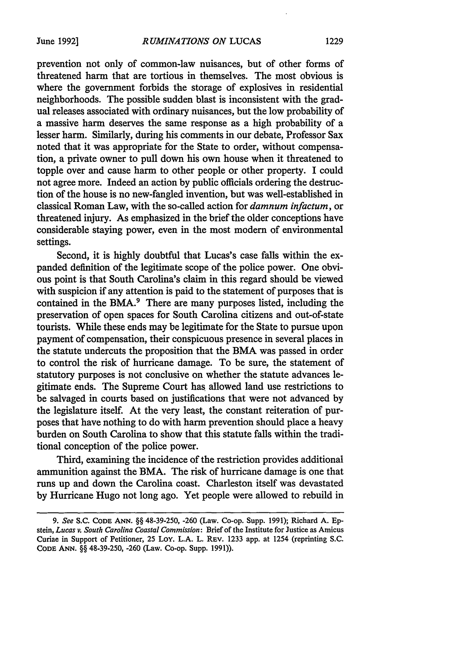prevention not only of common-law nuisances, but of other forms of threatened harm that are tortious in themselves. The most obvious is where the government forbids the storage of explosives in residential neighborhoods. The possible sudden blast is inconsistent with the gradual releases associated with ordinary nuisances, but the low probability of a massive harm deserves the same response as a high probability of a lesser harm. Similarly, during his comments in our debate, Professor Sax noted that it was appropriate for the State to order, without compensation, a private owner to pull down his own house when it threatened to topple over and cause harm to other people or other property. I could not agree more. Indeed an action by public officials ordering the destruction of the house is no new-fangled invention, but was well-established in classical Roman Law, with the so-called action for *damnum infactum,* or threatened injury. As emphasized in the brief the older conceptions have considerable staying power, even in the most modern of environmental settings.

Second, it is highly doubtful that Lucas's case falls within the expanded definition of the legitimate scope of the police power. One obvious point is that South Carolina's claim in this regard should be viewed with suspicion if any attention is paid to the statement of purposes that is contained in the BMA.<sup>9</sup> There are many purposes listed, including the preservation of open spaces for South Carolina citizens and out-of-state tourists. While these ends may be legitimate for the State to pursue upon payment of compensation, their conspicuous presence in several places in the statute undercuts the proposition that the BMA was passed in order to control the risk of hurricane damage. To be sure, the statement of statutory purposes is not conclusive on whether the statute advances legitimate ends. The Supreme Court has allowed land use restrictions to be salvaged in courts based on justifications that were not advanced by the legislature itself. At the very least, the constant reiteration of purposes that have nothing to do with harm prevention should place a heavy burden on South Carolina to show that this statute falls within the traditional conception of the police power.

Third, examining the incidence of the restriction provides additional ammunition against the BMA. The risk of hurricane damage is one that runs up and down the Carolina coast. Charleston itself was devastated by Hurricane Hugo not long ago. Yet people were allowed to rebuild in

*<sup>9.</sup> See* S.C. **CODE ANN.** §§ 48-39-250, -260 (Law. Co-op. Supp. 1991); Richard A. Epstein, *Lucas v. South Carolina Coastal Commission:* Brief of the Institute for Justice as Arnicus Curiae in Support of Petitioner, 25 Loy. L.A. L. REv. 1233 app. at 1254 (reprinting S.C. CODE ANN. §§ 48-39-250, -260 (Law. Co-op. Supp. 1991)).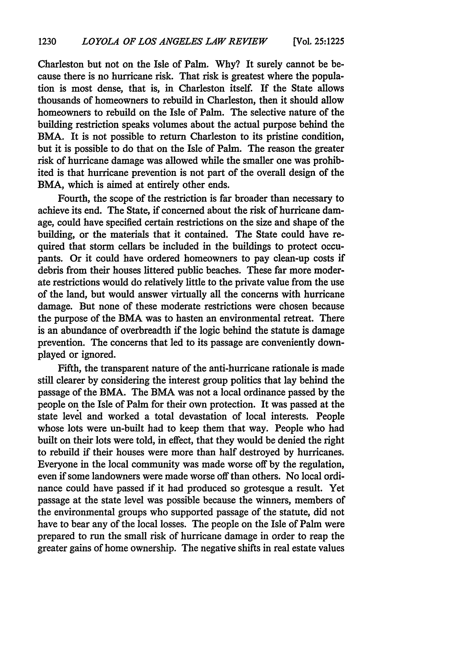Charleston but not on the Isle of Palm. Why? It surely cannot be because there is no hurricane risk. That risk is greatest where the population is most dense, that is, in Charleston itself. If the State allows thousands of homeowners to rebuild in Charleston, then it should allow homeowners to rebuild on the Isle of Palm. The selective nature of the building restriction speaks volumes about the actual purpose behind the BMA. It is not possible to return Charleston to its pristine condition, but it is possible to do that on the Isle of Palm. The reason the greater risk of hurricane damage was allowed while the smaller one was prohibited is that hurricane prevention is not part of the overall design of the BMA, which is aimed at entirely other ends.

Fourth, the scope of the restriction is far broader than necessary to achieve its end. The State, if concerned about the risk of hurricane damage, could have specified certain restrictions on the size and shape of the building, or the materials that it contained. The State could have required that storm cellars be included in the buildings to protect occupants. Or it could have ordered homeowners to pay clean-up costs if debris from their houses littered public beaches. These far more moderate restrictions would do relatively little to the private value from the use of the land, but would answer virtually all the concerns with hurricane damage. But none of these moderate restrictions were chosen because the purpose of the BMA was to hasten an environmental retreat. There is an abundance of overbreadth if the logic behind the statute is damage prevention. The concerns that led to its passage are conveniently downplayed or ignored.

Fifth, the transparent nature of the anti-hurricane rationale is made still clearer by considering the interest group politics that lay behind the passage of the BMA. The BMA was not a local ordinance passed by the people on the Isle of Palm for their own protection. It was passed at the state level and worked a total devastation of local interests. People whose lots were un-built had to keep them that way. People who had built on their lots were told, in effect, that they would be denied the right to rebuild if their houses were more than half destroyed by hurricanes. Everyone in the local community was made worse off by the regulation, even if some landowners were made worse off than others. No local ordinance could have passed if it had produced so grotesque a result. Yet passage at the state level was possible because the winners, members of the environmental groups who supported passage of the statute, did not have to bear any of the local losses. The people on the Isle of Palm were prepared to run the small risk of hurricane damage in order to reap the greater gains of home ownership. The negative shifts in real estate values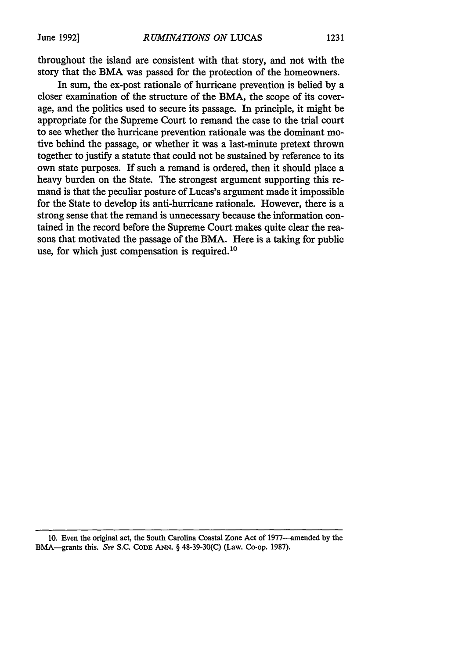throughout the island are consistent with that story, and not with the story that the BMA was passed for the protection of the homeowners.

In sum, the ex-post rationale of hurricane prevention is belied by a closer examination of the structure of the BMA, the scope of its coverage, and the politics used to secure its passage. In principle, it might be appropriate for the Supreme Court to remand the case to the trial court to see whether the hurricane prevention rationale was the dominant motive behind the passage, or whether it was a last-minute pretext thrown together to justify a statute that could not be sustained by reference to its own state purposes. If such a remand is ordered, then it should place a heavy burden on the State. The strongest argument supporting this remand is that the peculiar posture of Lucas's argument made it impossible for the State to develop its anti-hurricane rationale. However, there is a strong sense that the remand is unnecessary because the information contained in the record before the Supreme Court makes quite clear the reasons that motivated the passage of the BMA. Here is a taking for public use, for which just compensation is required.<sup>10</sup>

<sup>10.</sup> Even the original act, the South Carolina Coastal Zone Act of 1977—amended by the BMA-grants this. See S.C. **CODE ANN.** § 48-39-30(C) (Law. Co-op. 1987).